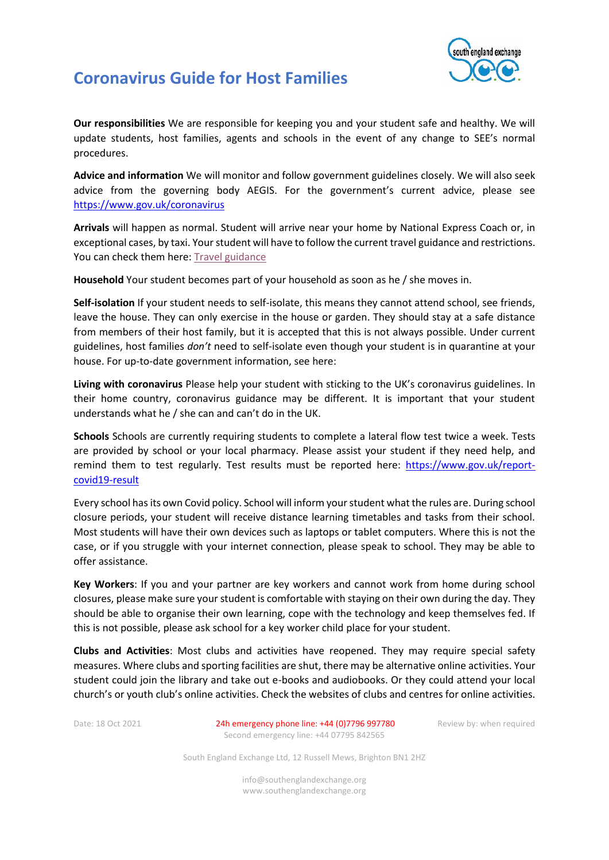## **Coronavirus Guide for Host Families**



**Our responsibilities** We are responsible for keeping you and your student safe and healthy. We will update students, host families, agents and schools in the event of any change to SEE's normal procedures.

**Advice and information** We will monitor and follow government guidelines closely. We will also seek advice from the governing body AEGIS. For the government's current advice, please see <https://www.gov.uk/coronavirus>

**Arrivals** will happen as normal. Student will arrive near your home by National Express Coach or, in exceptional cases, by taxi. Your student will have to follow the current travel guidance and restrictions. You can check them here: [Travel guidance](https://www.gov.uk/guidance/travel-to-england-from-another-country-during-coronavirus-covid-19?priority-taxon=774cee22-d896-44c1-a611-e3109cce8eae)

**Household** Your student becomes part of your household as soon as he / she moves in.

**Self-isolation** If your student needs to self-isolate, this means they cannot attend school, see friends, leave the house. They can only exercise in the house or garden. They should stay at a safe distance from members of their host family, but it is accepted that this is not always possible. Under current guidelines, host families *don't* need to self-isolate even though your student is in quarantine at your house. For up-to-date government information, see here:

**Living with coronavirus** Please help your student with sticking to the UK's coronavirus guidelines. In their home country, coronavirus guidance may be different. It is important that your student understands what he / she can and can't do in the UK.

**Schools** Schools are currently requiring students to complete a lateral flow test twice a week. Tests are provided by school or your local pharmacy. Please assist your student if they need help, and remind them to test regularly. Test results must be reported here: [https://www.gov.uk/report](https://www.gov.uk/report-covid19-result)[covid19-result](https://www.gov.uk/report-covid19-result)

Every school has its own Covid policy. School will inform your student what the rules are. During school closure periods, your student will receive distance learning timetables and tasks from their school. Most students will have their own devices such as laptops or tablet computers. Where this is not the case, or if you struggle with your internet connection, please speak to school. They may be able to offer assistance.

**Key Workers**: If you and your partner are key workers and cannot work from home during school closures, please make sure your student is comfortable with staying on their own during the day. They should be able to organise their own learning, cope with the technology and keep themselves fed. If this is not possible, please ask school for a key worker child place for your student.

**Clubs and Activities**: Most clubs and activities have reopened. They may require special safety measures. Where clubs and sporting facilities are shut, there may be alternative online activities. Your student could join the library and take out e-books and audiobooks. Or they could attend your local church's or youth club's online activities. Check the websites of clubs and centres for online activities.

Date: 18 Oct 2021 24h emergency phone line: +44 (0)7796 997780 Review by: when required Second emergency line: +44 07795 842565

South England Exchange Ltd, 12 Russell Mews, Brighton BN1 2HZ

info@southenglandexchange.org www.southenglandexchange.org